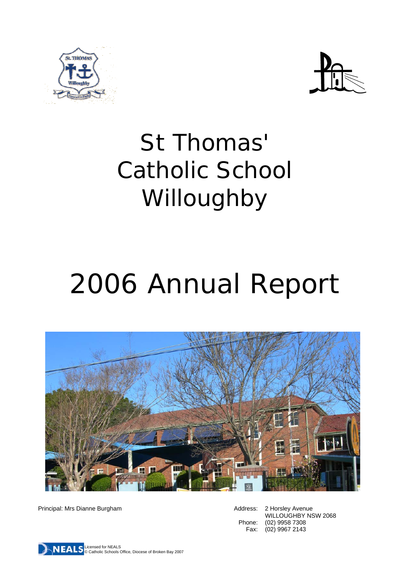



## St Thomas' Catholic School Willoughby

# 2006 Annual Report



Principal: Mrs Dianne Burgham **Address: 2 Horsley Avenue** Address: 2 Horsley Avenue

WILLOUGHBY NSW 2068 Phone: (02) 9958 7308 Fax: (02) 9967 2143

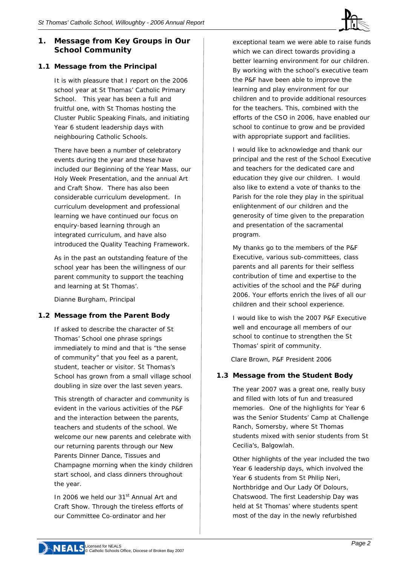#### **1. Message from Key Groups in Our School Community**

#### **1.1 Message from the Principal**

It is with pleasure that I report on the 2006 school year at St Thomas' Catholic Primary School. This year has been a full and fruitful one, with St Thomas hosting the Cluster Public Speaking Finals, and initiating Year 6 student leadership days with neighbouring Catholic Schools.

There have been a number of celebratory events during the year and these have included our Beginning of the Year Mass, our Holy Week Presentation, and the annual Art and Craft Show. There has also been considerable curriculum development. In curriculum development and professional learning we have continued our focus on enquiry-based learning through an integrated curriculum, and have also introduced the Quality Teaching Framework.

As in the past an outstanding feature of the school year has been the willingness of our parent community to support the teaching and learning at St Thomas'.

*Dianne Burgham, Principal* 

#### **1.2 Message from the Parent Body**

If asked to describe the character of St Thomas' School one phrase springs immediately to mind and that is "the sense of community" that you feel as a parent, student, teacher or visitor. St Thomas's School has grown from a small village school doubling in size over the last seven years.

This strength of character and community is evident in the various activities of the P&F and the interaction between the parents, teachers and students of the school. We welcome our new parents and celebrate with our returning parents through our New Parents Dinner Dance, Tissues and Champagne morning when the kindy children start school, and class dinners throughout the year.

In 2006 we held our 31<sup>st</sup> Annual Art and Craft Show. Through the tireless efforts of our Committee Co-ordinator and her

exceptional team we were able to raise funds which we can direct towards providing a better learning environment for our children. By working with the school's executive team the P&F have been able to improve the learning and play environment for our children and to provide additional resources for the teachers. This, combined with the efforts of the CSO in 2006, have enabled our school to continue to grow and be provided with appropriate support and facilities.

I would like to acknowledge and thank our principal and the rest of the School Executive and teachers for the dedicated care and education they give our children. I would also like to extend a vote of thanks to the Parish for the role they play in the spiritual enlightenment of our children and the generosity of time given to the preparation and presentation of the sacramental program.

My thanks go to the members of the P&F Executive, various sub-committees, class parents and all parents for their selfless contribution of time and expertise to the activities of the school and the P&F during 2006. Your efforts enrich the lives of all our children and their school experience.

I would like to wish the 2007 P&F Executive well and encourage all members of our school to continue to strengthen the St Thomas' spirit of community.

*Clare Brown, P&F President 2006* 

#### **1.3 Message from the Student Body**

The year 2007 was a great one, really busy and filled with lots of fun and treasured memories. One of the highlights for Year 6 was the Senior Students' Camp at Challenge Ranch, Somersby, where St Thomas students mixed with senior students from St Cecilia's, Balgowlah.

Other highlights of the year included the two Year 6 leadership days, which involved the Year 6 students from St Philip Neri, Northbridge and Our Lady Of Dolours, Chatswood. The first Leadership Day was held at St Thomas' where students spent most of the day in the newly refurbished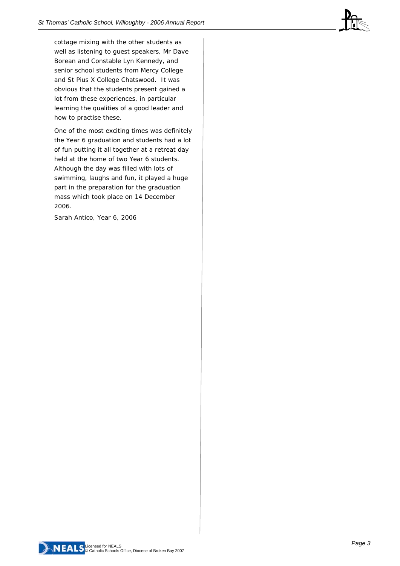cottage mixing with the other students as well as listening to guest speakers, Mr Dave Borean and Constable Lyn Kennedy, and senior school students from Mercy College and St Pius X College Chatswood. It was obvious that the students present gained a lot from these experiences, in particular learning the qualities of a good leader and how to practise these.

One of the most exciting times was definitely the Year 6 graduation and students had a lot of fun putting it all together at a retreat day held at the home of two Year 6 students. Although the day was filled with lots of swimming, laughs and fun, it played a huge part in the preparation for the graduation mass which took place on 14 December 2006.

*Sarah Antico, Year 6, 2006* 

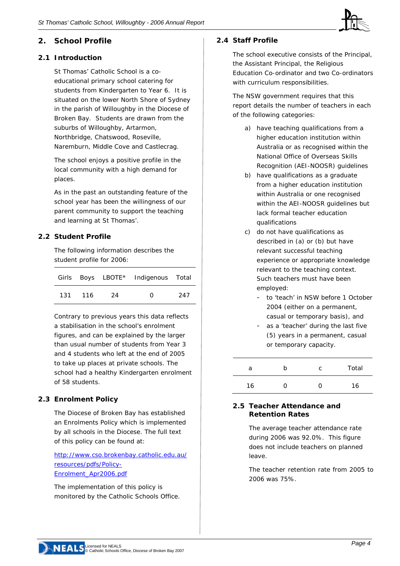

#### **2.1 Introduction**

St Thomas' Catholic School is a coeducational primary school catering for students from Kindergarten to Year 6. It is situated on the lower North Shore of Sydney in the parish of Willoughby in the Diocese of Broken Bay. Students are drawn from the suburbs of Willoughby, Artarmon, Northbridge, Chatswood, Roseville, Naremburn, Middle Cove and Castlecrag.

The school enjoys a positive profile in the local community with a high demand for places.

As in the past an outstanding feature of the school year has been the willingness of our parent community to support the teaching and learning at St Thomas'.

#### **2.2 Student Profile**

The following information describes the student profile for 2006:

|         |    | Girls Boys LBOTE* Indigenous Total |     |
|---------|----|------------------------------------|-----|
| 131 116 | 24 | $^{\circ}$                         | 247 |

Contrary to previous years this data reflects a stabilisation in the school's enrolment figures, and can be explained by the larger than usual number of students from Year 3 and 4 students who left at the end of 2005 to take up places at private schools. The school had a healthy Kindergarten enrolment of 58 students.

#### **2.3 Enrolment Policy**

The Diocese of Broken Bay has established an Enrolments Policy which is implemented by all schools in the Diocese. The full text of this policy can be found at:

[http://www.cso.brokenbay.catholic.edu.au/](http://www.cso.brokenbay.catholic.edu.au/resources/pdfs/Policy-Enrolment_Apr2006.pdf) [resources/pdfs/Policy-](http://www.cso.brokenbay.catholic.edu.au/resources/pdfs/Policy-Enrolment_Apr2006.pdf)[Enrolment\\_Apr2006.pdf](http://www.cso.brokenbay.catholic.edu.au/resources/pdfs/Policy-Enrolment_Apr2006.pdf)

The implementation of this policy is monitored by the Catholic Schools Office.

#### **2.4 Staff Profile**

The school executive consists of the Principal, the Assistant Principal, the Religious Education Co-ordinator and two Co-ordinators with curriculum responsibilities.

The NSW government requires that this report details the number of teachers in each of the following categories:

- a) have teaching qualifications from a higher education institution within Australia or as recognised within the National Office of Overseas Skills Recognition (AEI-NOOSR) guidelines
- b) have qualifications as a graduate from a higher education institution within Australia or one recognised within the AEI-NOOSR quidelines but lack formal teacher education qualifications
- c) do not have qualifications as described in (a) or (b) but have relevant successful teaching experience or appropriate knowledge relevant to the teaching context. Such teachers must have been employed:
	- to 'teach' in NSW before 1 October 2004 (either on a permanent, casual or temporary basis), and
	- as a 'teacher' during the last five (5) years in a permanent, casual or temporary capacity.

| a  | b | C   | Total |
|----|---|-----|-------|
| 16 | 0 | . . | 16    |

#### **2.5 Teacher Attendance and Retention Rates**

The average teacher attendance rate during 2006 was 92.0%. This figure does not include teachers on planned leave.

The teacher retention rate from 2005 to 2006 was 75%.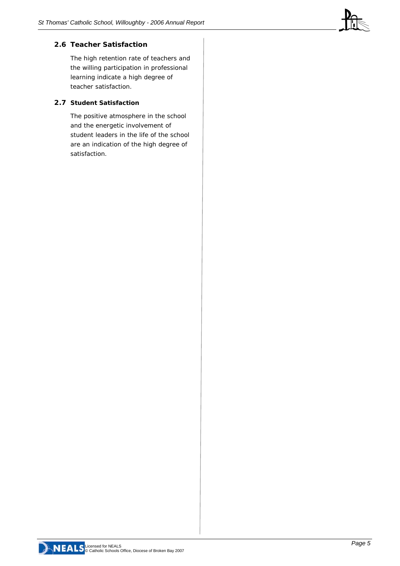#### **2.6 Teacher Satisfaction**

The high retention rate of teachers and the willing participation in professional learning indicate a high degree of teacher satisfaction.

#### **2.7 Student Satisfaction**

The positive atmosphere in the school and the energetic involvement of student leaders in the life of the school are an indication of the high degree of satisfaction.

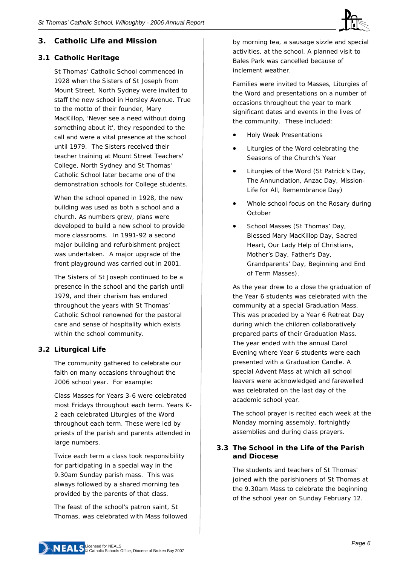

#### **3. Catholic Life and Mission**

#### **3.1 Catholic Heritage**

St Thomas' Catholic School commenced in 1928 when the Sisters of St Joseph from Mount Street, North Sydney were invited to staff the new school in Horsley Avenue. True to the motto of their founder, Mary MacKillop, 'Never see a need without doing something about it', they responded to the call and were a vital presence at the school until 1979. The Sisters received their teacher training at Mount Street Teachers' College, North Sydney and St Thomas' Catholic School later became one of the demonstration schools for College students.

When the school opened in 1928, the new building was used as both a school and a church. As numbers grew, plans were developed to build a new school to provide more classrooms. In 1991-92 a second major building and refurbishment project was undertaken. A major upgrade of the front playground was carried out in 2001.

The Sisters of St Joseph continued to be a presence in the school and the parish until 1979, and their charism has endured throughout the years with St Thomas' Catholic School renowned for the pastoral care and sense of hospitality which exists within the school community.

#### **3.2 Liturgical Life**

The community gathered to celebrate our faith on many occasions throughout the 2006 school year. For example:

Class Masses for Years 3-6 were celebrated most Fridays throughout each term. Years K-2 each celebrated Liturgies of the Word throughout each term. These were led by priests of the parish and parents attended in large numbers.

Twice each term a class took responsibility for participating in a special way in the 9.30am Sunday parish mass. This was always followed by a shared morning tea provided by the parents of that class.

The feast of the school's patron saint, St Thomas, was celebrated with Mass followed

by morning tea, a sausage sizzle and special activities, at the school. A planned visit to Bales Park was cancelled because of inclement weather.

Families were invited to Masses, Liturgies of the Word and presentations on a number of occasions throughout the year to mark significant dates and events in the lives of the community. These included:

- Holy Week Presentations
- Liturgies of the Word celebrating the Seasons of the Church's Year
- Liturgies of the Word (St Patrick's Day, The Annunciation, Anzac Day, Mission-Life for All, Remembrance Day)
- Whole school focus on the Rosary during October
- School Masses (St Thomas' Day, Blessed Mary MacKillop Day, Sacred Heart, Our Lady Help of Christians, Mother's Day, Father's Day, Grandparents' Day, Beginning and End of Term Masses).

As the year drew to a close the graduation of the Year 6 students was celebrated with the community at a special Graduation Mass. This was preceded by a Year 6 Retreat Day during which the children collaboratively prepared parts of their Graduation Mass. The year ended with the annual Carol Evening where Year 6 students were each presented with a Graduation Candle. A special Advent Mass at which all school leavers were acknowledged and farewelled was celebrated on the last day of the academic school year.

The school prayer is recited each week at the Monday morning assembly, fortnightly assemblies and during class prayers.

#### **3.3 The School in the Life of the Parish and Diocese**

The students and teachers of St Thomas' joined with the parishioners of St Thomas at the 9.30am Mass to celebrate the beginning of the school year on Sunday February 12.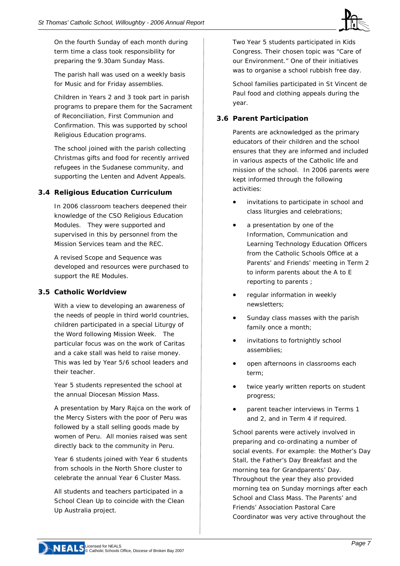

On the fourth Sunday of each month during term time a class took responsibility for preparing the 9.30am Sunday Mass.

The parish hall was used on a weekly basis for Music and for Friday assemblies.

Children in Years 2 and 3 took part in parish programs to prepare them for the Sacrament of Reconciliation, First Communion and Confirmation. This was supported by school Religious Education programs.

The school joined with the parish collecting Christmas gifts and food for recently arrived refugees in the Sudanese community, and supporting the Lenten and Advent Appeals.

#### **3.4 Religious Education Curriculum**

In 2006 classroom teachers deepened their knowledge of the CSO Religious Education Modules. They were supported and supervised in this by personnel from the Mission Services team and the REC.

A revised Scope and Sequence was developed and resources were purchased to support the RE Modules.

#### **3.5 Catholic Worldview**

With a view to developing an awareness of the needs of people in third world countries, children participated in a special Liturgy of the Word following Mission Week. The particular focus was on the work of Caritas and a cake stall was held to raise money. This was led by Year 5/6 school leaders and their teacher.

Year 5 students represented the school at the annual Diocesan Mission Mass.

A presentation by Mary Rajca on the work of the Mercy Sisters with the poor of Peru was followed by a stall selling goods made by women of Peru. All monies raised was sent directly back to the community in Peru.

Year 6 students joined with Year 6 students from schools in the North Shore cluster to celebrate the annual Year 6 Cluster Mass.

All students and teachers participated in a School Clean Up to coincide with the Clean Up Australia project.

Two Year 5 students participated in Kids Congress. Their chosen topic was "Care of our Environment." One of their initiatives was to organise a school rubbish free day.

School families participated in St Vincent de Paul food and clothing appeals during the year.

#### **3.6 Parent Participation**

Parents are acknowledged as the primary educators of their children and the school ensures that they are informed and included in various aspects of the Catholic life and mission of the school. In 2006 parents were kept informed through the following activities:

- invitations to participate in school and class liturgies and celebrations;
- a presentation by one of the Information, Communication and Learning Technology Education Officers from the Catholic Schools Office at a Parents' and Friends' meeting in Term 2 to inform parents about the A to E reporting to parents ;
- regular information in weekly newsletters;
- Sunday class masses with the parish family once a month;
- invitations to fortnightly school assemblies;
- open afternoons in classrooms each term;
- twice yearly written reports on student progress;
- parent teacher interviews in Terms 1 and 2, and in Term 4 if required.

School parents were actively involved in preparing and co-ordinating a number of social events. For example: the Mother's Day Stall, the Father's Day Breakfast and the morning tea for Grandparents' Day. Throughout the year they also provided morning tea on Sunday mornings after each School and Class Mass. The Parents' and Friends' Association Pastoral Care Coordinator was very active throughout the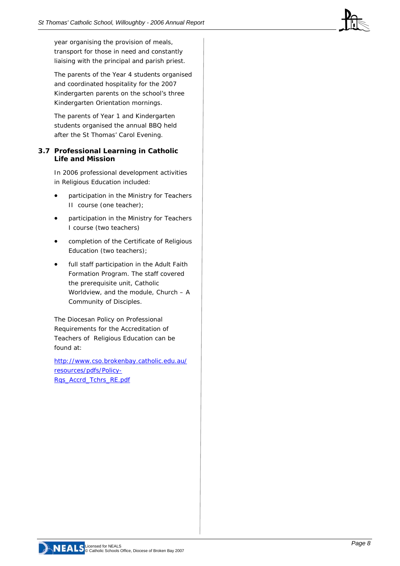year organising the provision of meals, transport for those in need and constantly liaising with the principal and parish priest.

The parents of the Year 4 students organised and coordinated hospitality for the 2007 Kindergarten parents on the school's three Kindergarten Orientation mornings.

The parents of Year 1 and Kindergarten students organised the annual BBQ held after the St Thomas' Carol Evening.

#### **3.7 Professional Learning in Catholic Life and Mission**

In 2006 professional development activities in Religious Education included:

- participation in the Ministry for Teachers II course (one teacher);
- participation in the Ministry for Teachers I course (two teachers)
- completion of the Certificate of Religious Education (two teachers);
- full staff participation in the Adult Faith Formation Program. The staff covered the prerequisite unit, Catholic Worldview, and the module, Church – A Community of Disciples.

The Diocesan Policy on Professional Requirements for the Accreditation of Teachers of Religious Education can be found at:

[http://www.cso.brokenbay.catholic.edu.au/](http://www.cso.brokenbay.catholic.edu.au/resources/pdfs/Policy-Rqs_Accrd_Tchrs_RE.pdf) [resources/pdfs/Policy-](http://www.cso.brokenbay.catholic.edu.au/resources/pdfs/Policy-Rqs_Accrd_Tchrs_RE.pdf)[Rqs\\_Accrd\\_Tchrs\\_RE.pdf](http://www.cso.brokenbay.catholic.edu.au/resources/pdfs/Policy-Rqs_Accrd_Tchrs_RE.pdf)

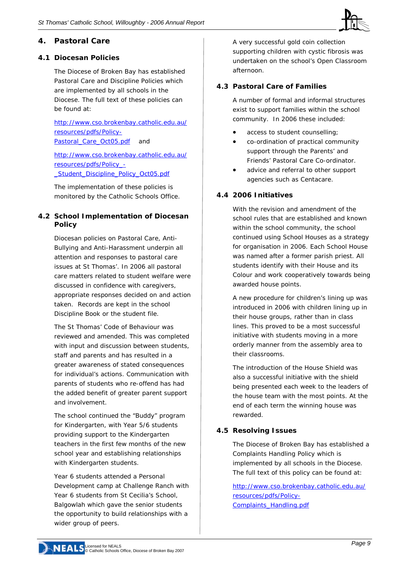

#### **4. Pastoral Care**

#### **4.1 Diocesan Policies**

The Diocese of Broken Bay has established Pastoral Care and Discipline Policies which are implemented by all schools in the Diocese. The full text of these policies can be found at:

[http://www.cso.brokenbay.catholic.edu.au/](http://www.cso.brokenbay.catholic.edu.au/resources/pdfs/Policy-Pastoral_Care_Oct05.pdf) [resources/pdfs/Policy-](http://www.cso.brokenbay.catholic.edu.au/resources/pdfs/Policy-Pastoral_Care_Oct05.pdf)[Pastoral\\_Care\\_Oct05.pdf](http://www.cso.brokenbay.catholic.edu.au/resources/pdfs/Policy-Pastoral_Care_Oct05.pdf) and

[http://www.cso.brokenbay.catholic.edu.au/](http://www.cso.brokenbay.catholic.edu.au/resources/pdfs/Policy_-_Student_Discipline_Policy_Oct05.pdf) [resources/pdfs/Policy\\_-](http://www.cso.brokenbay.catholic.edu.au/resources/pdfs/Policy_-_Student_Discipline_Policy_Oct05.pdf) Student Discipline Policy Oct05.pdf

The implementation of these policies is monitored by the Catholic Schools Office.

#### **4.2 School Implementation of Diocesan Policy**

Diocesan policies on Pastoral Care, Anti-Bullying and Anti-Harassment underpin all attention and responses to pastoral care issues at St Thomas'. In 2006 all pastoral care matters related to student welfare were discussed in confidence with caregivers, appropriate responses decided on and action taken. Records are kept in the school Discipline Book or the student file.

The St Thomas' Code of Behaviour was reviewed and amended. This was completed with input and discussion between students, staff and parents and has resulted in a greater awareness of stated consequences for individual's actions. Communication with parents of students who re-offend has had the added benefit of greater parent support and involvement.

The school continued the "Buddy" program for Kindergarten, with Year 5/6 students providing support to the Kindergarten teachers in the first few months of the new school year and establishing relationships with Kindergarten students.

Year 6 students attended a Personal Development camp at Challenge Ranch with Year 6 students from St Cecilia's School, Balgowlah which gave the senior students the opportunity to build relationships with a wider group of peers.

A very successful gold coin collection supporting children with cystic fibrosis was undertaken on the school's Open Classroom afternoon.

#### **4.3 Pastoral Care of Families**

A number of formal and informal structures exist to support families within the school community. In 2006 these included:

- access to student counselling;
- co-ordination of practical community support through the Parents' and Friends' Pastoral Care Co-ordinator.
- advice and referral to other support agencies such as Centacare.

#### **4.4 2006 Initiatives**

With the revision and amendment of the school rules that are established and known within the school community, the school continued using School Houses as a strategy for organisation in 2006. Each School House was named after a former parish priest. All students identify with their House and its Colour and work cooperatively towards being awarded house points.

A new procedure for children's lining up was introduced in 2006 with children lining up in their house groups, rather than in class lines. This proved to be a most successful initiative with students moving in a more orderly manner from the assembly area to their classrooms.

The introduction of the House Shield was also a successful initiative with the shield being presented each week to the leaders of the house team with the most points. At the end of each term the winning house was rewarded.

#### **4.5 Resolving Issues**

The Diocese of Broken Bay has established a Complaints Handling Policy which is implemented by all schools in the Diocese. The full text of this policy can be found at:

[http://www.cso.brokenbay.catholic.edu.au/](http://www.cso.brokenbay.catholic.edu.au/resources/pdfs/Policy-Complaints_Handling.pdf) [resources/pdfs/Policy-](http://www.cso.brokenbay.catholic.edu.au/resources/pdfs/Policy-Complaints_Handling.pdf)[Complaints\\_Handling.pdf](http://www.cso.brokenbay.catholic.edu.au/resources/pdfs/Policy-Complaints_Handling.pdf)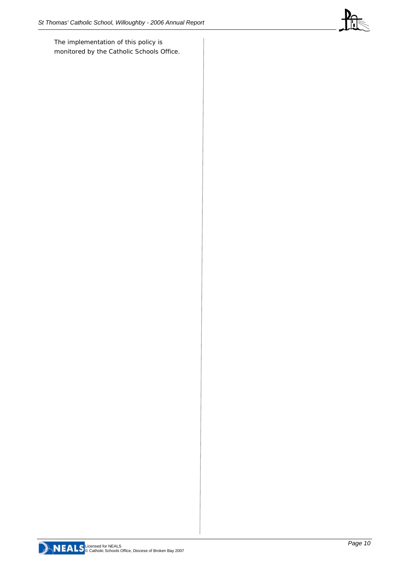The implementation of this policy is monitored by the Catholic Schools Office.



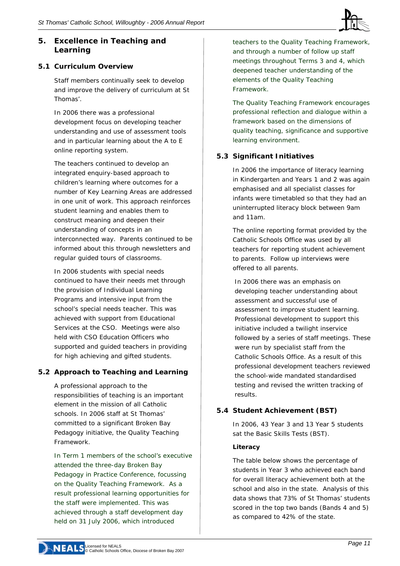#### **5. Excellence in Teaching and Learning**

#### **5.1 Curriculum Overview**

Staff members continually seek to develop and improve the delivery of curriculum at St Thomas'.

In 2006 there was a professional development focus on developing teacher understanding and use of assessment tools and in particular learning about the A to E online reporting system.

The teachers continued to develop an integrated enquiry-based approach to children's learning where outcomes for a number of Key Learning Areas are addressed in one unit of work. This approach reinforces student learning and enables them to construct meaning and deepen their understanding of concepts in an interconnected way. Parents continued to be informed about this through newsletters and regular guided tours of classrooms.

In 2006 students with special needs continued to have their needs met through the provision of Individual Learning Programs and intensive input from the school's special needs teacher. This was achieved with support from Educational Services at the CSO. Meetings were also held with CSO Education Officers who supported and guided teachers in providing for high achieving and gifted students.

#### **5.2 Approach to Teaching and Learning**

A professional approach to the responsibilities of teaching is an important element in the mission of all Catholic schools. In 2006 staff at St Thomas' committed to a significant Broken Bay Pedagogy initiative, the Quality Teaching Framework.

In Term 1 members of the school's executive attended the three-day Broken Bay Pedagogy in Practice Conference, focussing on the Quality Teaching Framework. As a result professional learning opportunities for the staff were implemented. This was achieved through a staff development day held on 31 July 2006, which introduced

teachers to the Quality Teaching Framework, and through a number of follow up staff meetings throughout Terms 3 and 4, which deepened teacher understanding of the elements of the Quality Teaching Framework.

The Quality Teaching Framework encourages professional reflection and dialogue within a framework based on the dimensions of quality teaching, significance and supportive learning environment.

#### **5.3 Significant Initiatives**

In 2006 the importance of literacy learning in Kindergarten and Years 1 and 2 was again emphasised and all specialist classes for infants were timetabled so that they had an uninterrupted literacy block between 9am and 11am.

The online reporting format provided by the Catholic Schools Office was used by all teachers for reporting student achievement to parents. Follow up interviews were offered to all parents.

In 2006 there was an emphasis on developing teacher understanding about assessment and successful use of assessment to improve student learning. Professional development to support this initiative included a twilight inservice followed by a series of staff meetings. These were run by specialist staff from the Catholic Schools Office. As a result of this professional development teachers reviewed the school-wide mandated standardised testing and revised the written tracking of results.

#### **5.4 Student Achievement (BST)**

In 2006, 43 Year 3 and 13 Year 5 students sat the Basic Skills Tests (BST).

#### *Literacy*

The table below shows the percentage of students in Year 3 who achieved each band for overall literacy achievement both at the school and also in the state. Analysis of this data shows that 73% of St Thomas' students scored in the top two bands (Bands 4 and 5) as compared to 42% of the state.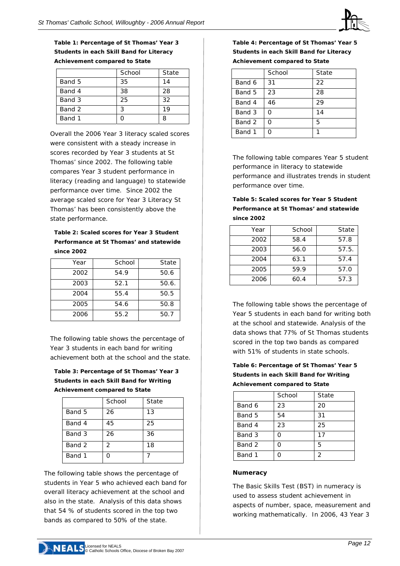

**Table 1: Percentage of St Thomas' Year 3 Students in each Skill Band for Literacy Achievement compared to State** 

|        | School | State |
|--------|--------|-------|
| Band 5 | 35     | 14    |
| Band 4 | 38     | 28    |
| Band 3 | 25     | 32    |
| Band 2 | ર      | 19    |
| Band 1 |        | Զ     |

Overall the 2006 Year 3 literacy scaled scores were consistent with a steady increase in scores recorded by Year 3 students at St Thomas' since 2002. The following table compares Year 3 student performance in literacy (reading and language) to statewide performance over time. Since 2002 the average scaled score for Year 3 Literacy St Thomas' has been consistently above the state performance.

#### **Table 2: Scaled scores for Year 3 Student Performance at St Thomas' and statewide since 2002**

| Year | School | State |
|------|--------|-------|
| 2002 | 54.9   | 50.6  |
| 2003 | 52.1   | 50.6. |
| 2004 | 55.4   | 50.5  |
| 2005 | 54.6   | 50.8  |
| 2006 | 55.2   | 50.7  |

The following table shows the percentage of Year 3 students in each band for writing achievement both at the school and the state.

**Table 3: Percentage of St Thomas' Year 3 Students in each Skill Band for Writing Achievement compared to State** 

|        | School | State |
|--------|--------|-------|
| Band 5 | 26     | 13    |
| Band 4 | 45     | 25    |
| Band 3 | 26     | 36    |
| Band 2 | 2      | 18    |
| Band 1 | ი      |       |

The following table shows the percentage of students in Year 5 who achieved each band for overall literacy achievement at the school and also in the state. Analysis of this data shows that 54 % of students scored in the top two bands as compared to 50% of the state.

**Table 4: Percentage of St Thomas' Year 5 Students in each Skill Band for Literacy Achievement compared to State** 

|        | School | State |
|--------|--------|-------|
| Band 6 | 31     | 22    |
| Band 5 | 23     | 28    |
| Band 4 | 46     | 29    |
| Band 3 | റ      | 14    |
| Band 2 | ∩      | 5     |
| Band 1 |        |       |

The following table compares Year 5 student performance in literacy to statewide performance and illustrates trends in student performance over time.

| Table 5: Scaled scores for Year 5 Student |
|-------------------------------------------|
| Performance at St Thomas' and statewide   |
| since 2002                                |

| Year | School | State |
|------|--------|-------|
| 2002 | 58.4   | 57.8  |
| 2003 | 56.0   | 57.5. |
| 2004 | 63.1   | 57.4  |
| 2005 | 59.9   | 57.0  |
| 2006 | 60.4   | 57.3  |

The following table shows the percentage of Year 5 students in each band for writing both at the school and statewide. Analysis of the data shows that 77% of St Thomas students scored in the top two bands as compared with 51% of students in state schools.

**Table 6: Percentage of St Thomas' Year 5 Students in each Skill Band for Writing Achievement compared to State** 

|        | School | State |
|--------|--------|-------|
| Band 6 | 23     | 20    |
| Band 5 | 54     | 31    |
| Band 4 | 23     | 25    |
| Band 3 |        | 17    |
| Band 2 | ∩      | 5     |
| Band 1 |        | 2     |

#### *Numeracy*

The Basic Skills Test (BST) in numeracy is used to assess student achievement in aspects of number, space, measurement and working mathematically. In 2006, 43 Year 3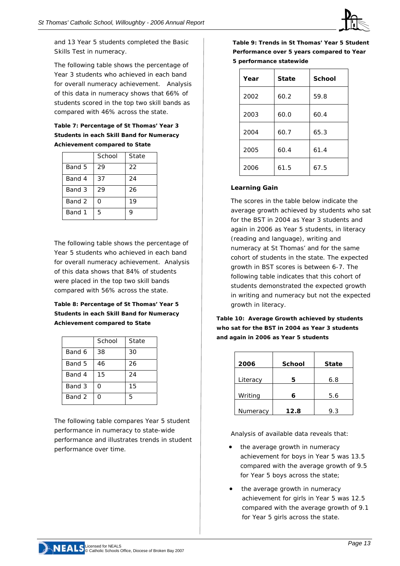

and 13 Year 5 students completed the Basic Skills Test in numeracy.

The following table shows the percentage of Year 3 students who achieved in each band for overall numeracy achievement. Analysis of this data in numeracy shows that 66% of students scored in the top two skill bands as compared with 46% across the state.

#### **Table 7: Percentage of St Thomas' Year 3 Students in each Skill Band for Numeracy Achievement compared to State**

|        | School | State |
|--------|--------|-------|
| Band 5 | 29     | 22    |
| Band 4 | 37     | 24    |
| Band 3 | 29     | 26    |
| Band 2 | O      | 19    |
| Band 1 | 5      | 9     |

The following table shows the percentage of Year 5 students who achieved in each band for overall numeracy achievement. Analysis of this data shows that 84% of students were placed in the top two skill bands compared with 56% across the state.

#### **Table 8: Percentage of St Thomas' Year 5 Students in each Skill Band for Numeracy Achievement compared to State**

|        | School | State |
|--------|--------|-------|
| Band 6 | 38     | 30    |
| Band 5 | 46     | 26    |
| Band 4 | 15     | 24    |
| Band 3 | O      | 15    |
| Band 2 | 0      | 5     |

The following table compares Year 5 student performance in numeracy to state-wide performance and illustrates trends in student performance over time.

**Table 9: Trends in St Thomas' Year 5 Student Performance over 5 years compared to Year 5 performance statewide**

| Year | <b>State</b> | <b>School</b> |
|------|--------------|---------------|
| 2002 | 60.2         | 59.8          |
| 2003 | 60.0         | 60.4          |
| 2004 | 60.7         | 65.3          |
| 2005 | 60.4         | 61.4          |
| 2006 | 61.5         | 67.5          |

#### **Learning Gain**

The scores in the table below indicate the average growth achieved by students who sat for the BST in 2004 as Year 3 students and again in 2006 as Year 5 students, in literacy (reading and language), writing and numeracy at St Thomas' and for the same cohort of students in the state. The expected growth in BST scores is between 6-7. The following table indicates that this cohort of students demonstrated the expected growth in writing and numeracy but not the expected growth in literacy.

**Table 10: Average Growth achieved by students who sat for the BST in 2004 as Year 3 students and again in 2006 as Year 5 students** 

| 2006     | <b>School</b> | <b>State</b> |
|----------|---------------|--------------|
| Literacy | 5             | 6.8          |
| Writing  | 6             | 5.6          |
| Numeracy | 12.8          | 9.3          |

Analysis of available data reveals that:

- the average growth in numeracy achievement for boys in Year 5 was 13.5 compared with the average growth of 9.5 for Year 5 boys across the state;
- the average growth in numeracy achievement for girls in Year 5 was 12.5 compared with the average growth of 9.1 for Year 5 girls across the state.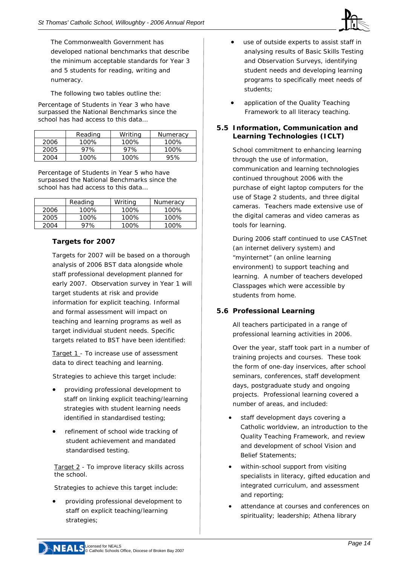

The Commonwealth Government has developed national benchmarks that describe the minimum acceptable standards for Year 3 and 5 students for reading, writing and numeracy.

The following two tables outline the:

*Percentage of Students in Year 3 who have surpassed the National Benchmarks since the school has had access to this data…* 

|      | Reading | Writing | Numeracy |
|------|---------|---------|----------|
| 2006 | 100%    | $100\%$ | 100%     |
| 2005 | 97%     | 97%     | 100%     |
| 2004 | 100%    | $100\%$ | 95%      |

*Percentage of Students in Year 5 who have surpassed the National Benchmarks since the school has had access to this data…* 

|      | Reading | Writing | Numeracy |
|------|---------|---------|----------|
| 2006 | 100%    | 100%    | 100%     |
| 2005 | 100%    | 100%    | 100%     |
| 2004 | 97%     | 100%    | 100%     |

#### **Targets for 2007**

Targets for 2007 will be based on a thorough analysis of 2006 BST data alongside whole staff professional development planned for early 2007. Observation survey in Year 1 will target students at risk and provide information for explicit teaching. Informal and formal assessment will impact on teaching and learning programs as well as target individual student needs. Specific targets related to BST have been identified:

Target 1 - To increase use of assessment data to direct teaching and learning.

Strategies to achieve this target include:

- providing professional development to staff on linking explicit teaching/learning strategies with student learning needs identified in standardised testing;
- refinement of school wide tracking of student achievement and mandated standardised testing.

Target 2 - To improve literacy skills across the school.

Strategies to achieve this target include:

• providing professional development to staff on explicit teaching/learning strategies;

- use of outside experts to assist staff in analysing results of Basic Skills Testing and Observation Surveys, identifying student needs and developing learning programs to specifically meet needs of students;
- application of the Quality Teaching Framework to all literacy teaching.

#### **5.5 Information, Communication and Learning Technologies (ICLT)**

School commitment to enhancing learning through the use of information, communication and learning technologies continued throughout 2006 with the purchase of eight laptop computers for the use of Stage 2 students, and three digital cameras. Teachers made extensive use of the digital cameras and video cameras as tools for learning.

During 2006 staff continued to use CASTnet (an internet delivery system) and "myinternet" (an online learning environment) to support teaching and learning. A number of teachers developed Classpages which were accessible by students from home.

#### **5.6 Professional Learning**

All teachers participated in a range of professional learning activities in 2006.

Over the year, staff took part in a number of training projects and courses. These took the form of one-day inservices, after school seminars, conferences, staff development days, postgraduate study and ongoing projects. Professional learning covered a number of areas, and included:

- staff development days covering a Catholic worldview, an introduction to the Quality Teaching Framework, and review and development of school Vision and Belief Statements;
- within-school support from visiting specialists in literacy, gifted education and integrated curriculum, and assessment and reporting;
- attendance at courses and conferences on spirituality; leadership; Athena library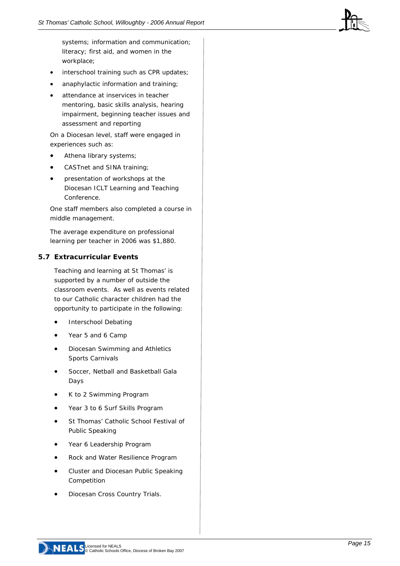systems; information and communication; literacy; first aid, and women in the workplace;

- interschool training such as CPR updates;
- anaphylactic information and training;
- attendance at inservices in teacher mentoring, basic skills analysis, hearing impairment, beginning teacher issues and assessment and reporting

On a Diocesan level, staff were engaged in experiences such as:

- Athena library systems;
- CASTnet and SINA training;
- presentation of workshops at the Diocesan ICLT Learning and Teaching Conference.

One staff members also completed a course in middle management.

The average expenditure on professional learning per teacher in 2006 was \$1,880.

#### **5.7 Extracurricular Events**

Teaching and learning at St Thomas' is supported by a number of outside the classroom events. As well as events related to our Catholic character children had the opportunity to participate in the following:

- Interschool Debating
- Year 5 and 6 Camp
- Diocesan Swimming and Athletics Sports Carnivals
- Soccer, Netball and Basketball Gala Days
- K to 2 Swimming Program
- Year 3 to 6 Surf Skills Program
- St Thomas' Catholic School Festival of Public Speaking
- Year 6 Leadership Program
- Rock and Water Resilience Program
- Cluster and Diocesan Public Speaking Competition
- Diocesan Cross Country Trials.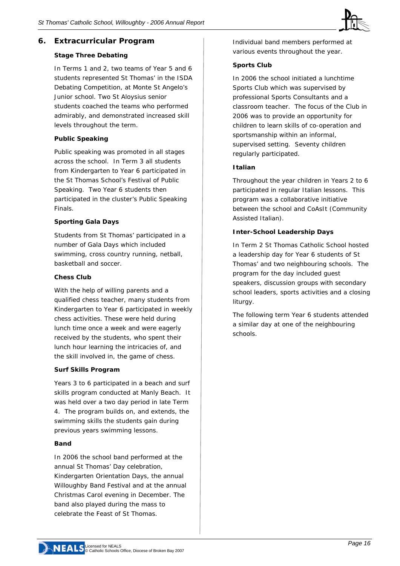#### **6. Extracurricular Program**

#### **Stage Three Debating**

In Terms 1 and 2, two teams of Year 5 and 6 students represented St Thomas' in the ISDA Debating Competition, at Monte St Angelo's Junior school. Two St Aloysius senior students coached the teams who performed admirably, and demonstrated increased skill levels throughout the term.

#### **Public Speaking**

Public speaking was promoted in all stages across the school. In Term 3 all students from Kindergarten to Year 6 participated in the St Thomas School's Festival of Public Speaking. Two Year 6 students then participated in the cluster's Public Speaking Finals.

#### **Sporting Gala Days**

Students from St Thomas' participated in a number of Gala Days which included swimming, cross country running, netball, basketball and soccer.

#### **Chess Club**

With the help of willing parents and a qualified chess teacher, many students from Kindergarten to Year 6 participated in weekly chess activities. These were held during lunch time once a week and were eagerly received by the students, who spent their lunch hour learning the intricacies of, and the skill involved in, the game of chess.

#### **Surf Skills Program**

Years 3 to 6 participated in a beach and surf skills program conducted at Manly Beach. It was held over a two day period in late Term 4. The program builds on, and extends, the swimming skills the students gain during previous years swimming lessons.

#### **Band**

In 2006 the school band performed at the annual St Thomas' Day celebration, Kindergarten Orientation Days, the annual Willoughby Band Festival and at the annual Christmas Carol evening in December. The band also played during the mass to celebrate the Feast of St Thomas.

Individual band members performed at various events throughout the year.

#### **Sports Club**

In 2006 the school initiated a lunchtime Sports Club which was supervised by professional Sports Consultants and a classroom teacher. The focus of the Club in 2006 was to provide an opportunity for children to learn skills of co-operation and sportsmanship within an informal, supervised setting. Seventy children regularly participated.

#### **Italian**

Throughout the year children in Years 2 to 6 participated in regular Italian lessons. This program was a collaborative initiative between the school and CoAsIt (Community Assisted Italian).

#### **Inter-School Leadership Days**

In Term 2 St Thomas Catholic School hosted a leadership day for Year 6 students of St Thomas' and two neighbouring schools. The program for the day included guest speakers, discussion groups with secondary school leaders, sports activities and a closing liturgy.

The following term Year 6 students attended a similar day at one of the neighbouring schools.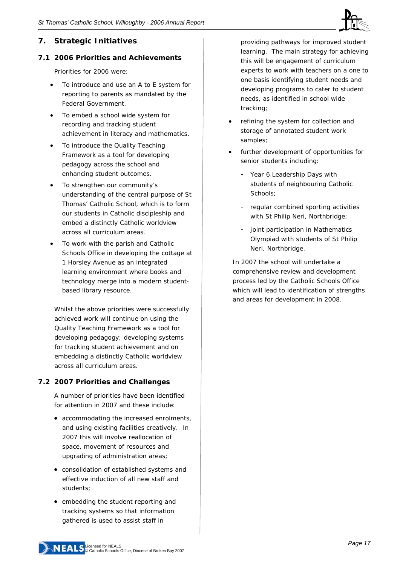

#### **7. Strategic Initiatives**

#### **7.1 2006 Priorities and Achievements**

Priorities for 2006 were:

- To introduce and use an A to E system for reporting to parents as mandated by the Federal Government.
- To embed a school wide system for recording and tracking student achievement in literacy and mathematics.
- To introduce the Quality Teaching Framework as a tool for developing pedagogy across the school and enhancing student outcomes.
- To strengthen our community's understanding of the central purpose of St Thomas' Catholic School, which is to form our students in Catholic discipleship and embed a distinctly Catholic worldview across all curriculum areas.
- To work with the parish and Catholic Schools Office in developing the cottage at 1 Horsley Avenue as an integrated learning environment where books and technology merge into a modern studentbased library resource.

Whilst the above priorities were successfully achieved work will continue on using the Quality Teaching Framework as a tool for developing pedagogy; developing systems for tracking student achievement and on embedding a distinctly Catholic worldview across all curriculum areas.

#### **7.2 2007 Priorities and Challenges**

A number of priorities have been identified for attention in 2007 and these include:

- accommodating the increased enrolments, and using existing facilities creatively. In 2007 this will involve reallocation of space, movement of resources and upgrading of administration areas;
- consolidation of established systems and effective induction of all new staff and students;
- embedding the student reporting and tracking systems so that information gathered is used to assist staff in

providing pathways for improved student learning. The main strategy for achieving this will be engagement of curriculum experts to work with teachers on a one to one basis identifying student needs and developing programs to cater to student needs, as identified in school wide tracking;

- refining the system for collection and storage of annotated student work samples;
- further development of opportunities for senior students including:
	- Year 6 Leadership Days with students of neighbouring Catholic Schools;
	- regular combined sporting activities with St Philip Neri, Northbridge;
	- joint participation in Mathematics Olympiad with students of St Philip Neri, Northbridge.

In 2007 the school will undertake a comprehensive review and development process led by the Catholic Schools Office which will lead to identification of strengths and areas for development in 2008.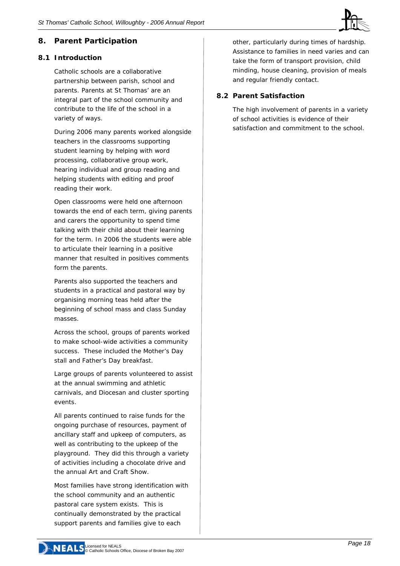

#### **8. Parent Participation**

#### **8.1 Introduction**

Catholic schools are a collaborative partnership between parish, school and parents. Parents at St Thomas' are an integral part of the school community and contribute to the life of the school in a variety of ways.

During 2006 many parents worked alongside teachers in the classrooms supporting student learning by helping with word processing, collaborative group work, hearing individual and group reading and helping students with editing and proof reading their work.

Open classrooms were held one afternoon towards the end of each term, giving parents and carers the opportunity to spend time talking with their child about their learning for the term. In 2006 the students were able to articulate their learning in a positive manner that resulted in positives comments form the parents.

Parents also supported the teachers and students in a practical and pastoral way by organising morning teas held after the beginning of school mass and class Sunday masses.

Across the school, groups of parents worked to make school-wide activities a community success. These included the Mother's Day stall and Father's Day breakfast.

Large groups of parents volunteered to assist at the annual swimming and athletic carnivals, and Diocesan and cluster sporting events.

All parents continued to raise funds for the ongoing purchase of resources, payment of ancillary staff and upkeep of computers, as well as contributing to the upkeep of the playground. They did this through a variety of activities including a chocolate drive and the annual Art and Craft Show.

Most families have strong identification with the school community and an authentic pastoral care system exists. This is continually demonstrated by the practical support parents and families give to each

other, particularly during times of hardship. Assistance to families in need varies and can take the form of transport provision, child minding, house cleaning, provision of meals and regular friendly contact.

#### **8.2 Parent Satisfaction**

The high involvement of parents in a variety of school activities is evidence of their satisfaction and commitment to the school.